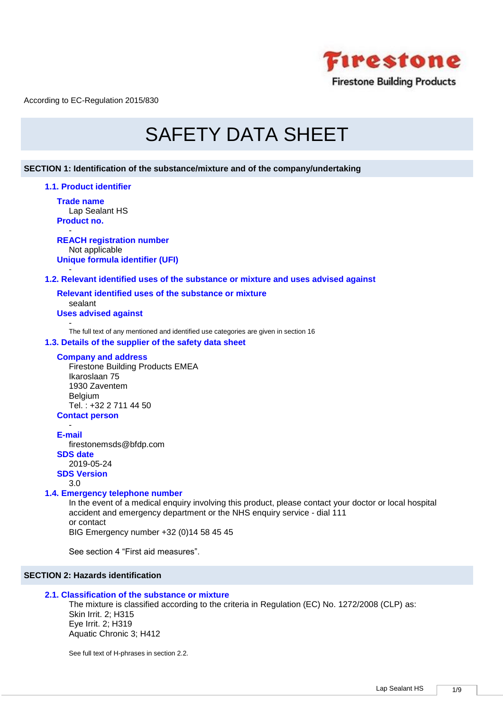

# SAFETY DATA SHEET

## **SECTION 1: Identification of the substance/mixture and of the company/undertaking**

### **1.1. Product identifier**

**Trade name** Lap Sealant HS **Product no.**

- **REACH registration number** Not applicable **Unique formula identifier (UFI)**

## **1.2. Relevant identified uses of the substance or mixture and uses advised against**

**Relevant identified uses of the substance or mixture** sealant **Uses advised against** 

-

-

The full text of any mentioned and identified use categories are given in section 16

## **1.3. Details of the supplier of the safety data sheet**

## **Company and address**

Firestone Building Products EMEA Ikaroslaan 75 1930 Zaventem Belgium Tel. : +32 2 711 44 50

## **Contact person** -

**E-mail**

firestonemsds@bfdp.com **SDS date** 2019-05-24 **SDS Version**

3.0

## **1.4. Emergency telephone number**

In the event of a medical enquiry involving this product, please contact your doctor or local hospital accident and emergency department or the NHS enquiry service - dial 111 or contact BIG Emergency number +32 (0)14 58 45 45

See section 4 "First aid measures".

## **SECTION 2: Hazards identification**

## **2.1. Classification of the substance or mixture**

The mixture is classified according to the criteria in Regulation (EC) No. 1272/2008 (CLP) as: Skin Irrit. 2; H315 Eye Irrit. 2; H319 Aquatic Chronic 3; H412

See full text of H-phrases in section 2.2.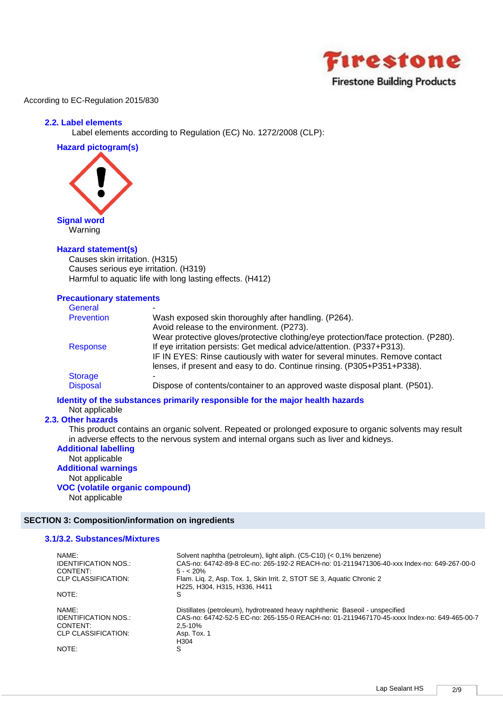

## **2.2. Label elements**

Label elements according to Regulation (EC) No. 1272/2008 (CLP):

**Hazard pictogram(s)**



## **Hazard statement(s)**

Causes skin irritation. (H315) Causes serious eye irritation. (H319) Harmful to aquatic life with long lasting effects. (H412)

## **Precautionary statements**

| General           |                                                                                    |
|-------------------|------------------------------------------------------------------------------------|
| <b>Prevention</b> | Wash exposed skin thoroughly after handling. (P264).                               |
|                   | Avoid release to the environment. (P273).                                          |
|                   | Wear protective gloves/protective clothing/eye protection/face protection. (P280). |
| Response          | If eye irritation persists: Get medical advice/attention. (P337+P313).             |
|                   | IF IN EYES: Rinse cautiously with water for several minutes. Remove contact        |
|                   | lenses, if present and easy to do. Continue rinsing. (P305+P351+P338).             |
| <b>Storage</b>    |                                                                                    |
| <b>Disposal</b>   | Dispose of contents/container to an approved waste disposal plant. (P501).         |

## **Identity of the substances primarily responsible for the major health hazards**

## Not applicable

## **2.3. Other hazards**

This product contains an organic solvent. Repeated or prolonged exposure to organic solvents may result in adverse effects to the nervous system and internal organs such as liver and kidneys.

## **Additional labelling** Not applicable **Additional warnings** Not applicable

**VOC (volatile organic compound)** Not applicable

## **SECTION 3: Composition/information on ingredients**

## **3.1/3.2. Substances/Mixtures**

| NAMF:<br><b>IDENTIFICATION NOS.:</b><br>CONTENT:<br>CLP CLASSIFICATION: | Solvent naphtha (petroleum), light aliph. (C5-C10) (< 0,1% benzene)<br>CAS-no: 64742-89-8 EC-no: 265-192-2 REACH-no: 01-2119471306-40-xxx Index-no: 649-267-00-0<br>$5 - 20%$<br>Flam. Lig. 2, Asp. Tox. 1, Skin Irrit. 2, STOT SE 3, Aguatic Chronic 2 |
|-------------------------------------------------------------------------|---------------------------------------------------------------------------------------------------------------------------------------------------------------------------------------------------------------------------------------------------------|
| NOTE:                                                                   | H225, H304, H315, H336, H411<br>S                                                                                                                                                                                                                       |
| NAMF:<br><b>IDENTIFICATION NOS.:</b><br>CONTENT:<br>CLP CLASSIFICATION: | Distillates (petroleum), hydrotreated heavy naphthenic Baseoil - unspecified<br>CAS-no: 64742-52-5 EC-no: 265-155-0 REACH-no: 01-2119467170-45-xxxx Index-no: 649-465-00-7<br>$2.5 - 10%$<br>Asp. Tox. 1<br>H304                                        |
| NOTE:                                                                   | S                                                                                                                                                                                                                                                       |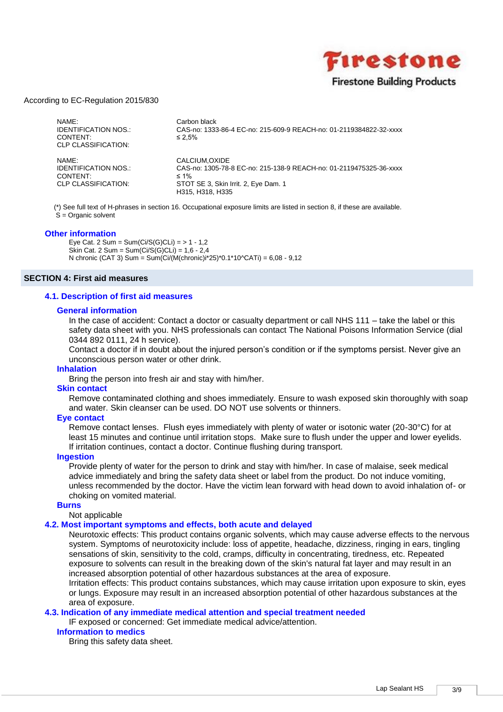

| NAMF:<br><b>IDENTIFICATION NOS.:</b><br>CONTENT:<br>CLP CLASSIFICATION: | Carbon black<br>CAS-no: 1333-86-4 EC-no: 215-609-9 REACH-no: 01-2119384822-32-xxxx<br>$\leq 2.5\%$                                                            |
|-------------------------------------------------------------------------|---------------------------------------------------------------------------------------------------------------------------------------------------------------|
| NAMF:<br><b>IDENTIFICATION NOS.:</b><br>CONTENT:<br>CLP CLASSIFICATION: | CALCIUM.OXIDE<br>CAS-no: 1305-78-8 EC-no: 215-138-9 REACH-no: 01-2119475325-36-xxxx<br>$\leq 1\%$<br>STOT SE 3, Skin Irrit. 2, Eye Dam. 1<br>H315, H318, H335 |

(\*) See full text of H-phrases in section 16. Occupational exposure limits are listed in section 8, if these are available. S = Organic solvent

#### **Other information**

Eye Cat. 2 Sum =  $Sum(Ci/S(G)CLi) = 51 - 1.2$ Skin Cat. 2 Sum = Sum  $(Ci/S(G)CLi) = 1,6 - 2,4$ N chronic (CAT 3) Sum = Sum(Ci/(M(chronic)i\*25)\*0.1\*10^CATi) = 6,08 - 9,12

#### **SECTION 4: First aid measures**

#### **4.1. Description of first aid measures**

#### **General information**

In the case of accident: Contact a doctor or casualty department or call NHS 111 – take the label or this safety data sheet with you. NHS professionals can contact The National Poisons Information Service (dial 0344 892 0111, 24 h service).

Contact a doctor if in doubt about the injured person's condition or if the symptoms persist. Never give an unconscious person water or other drink.

#### **Inhalation**

Bring the person into fresh air and stay with him/her.

#### **Skin contact**

Remove contaminated clothing and shoes immediately. Ensure to wash exposed skin thoroughly with soap and water. Skin cleanser can be used. DO NOT use solvents or thinners.

#### **Eye contact**

Remove contact lenses. Flush eyes immediately with plenty of water or isotonic water (20-30°C) for at least 15 minutes and continue until irritation stops. Make sure to flush under the upper and lower eyelids. If irritation continues, contact a doctor. Continue flushing during transport.

#### **Ingestion**

Provide plenty of water for the person to drink and stay with him/her. In case of malaise, seek medical advice immediately and bring the safety data sheet or label from the product. Do not induce vomiting, unless recommended by the doctor. Have the victim lean forward with head down to avoid inhalation of- or choking on vomited material.

#### **Burns**

## Not applicable

## **4.2. Most important symptoms and effects, both acute and delayed**

Neurotoxic effects: This product contains organic solvents, which may cause adverse effects to the nervous system. Symptoms of neurotoxicity include: loss of appetite, headache, dizziness, ringing in ears, tingling sensations of skin, sensitivity to the cold, cramps, difficulty in concentrating, tiredness, etc. Repeated exposure to solvents can result in the breaking down of the skin's natural fat layer and may result in an increased absorption potential of other hazardous substances at the area of exposure.

Irritation effects: This product contains substances, which may cause irritation upon exposure to skin, eyes or lungs. Exposure may result in an increased absorption potential of other hazardous substances at the area of exposure.

## **4.3. Indication of any immediate medical attention and special treatment needed**

IF exposed or concerned: Get immediate medical advice/attention.

## **Information to medics**

Bring this safety data sheet.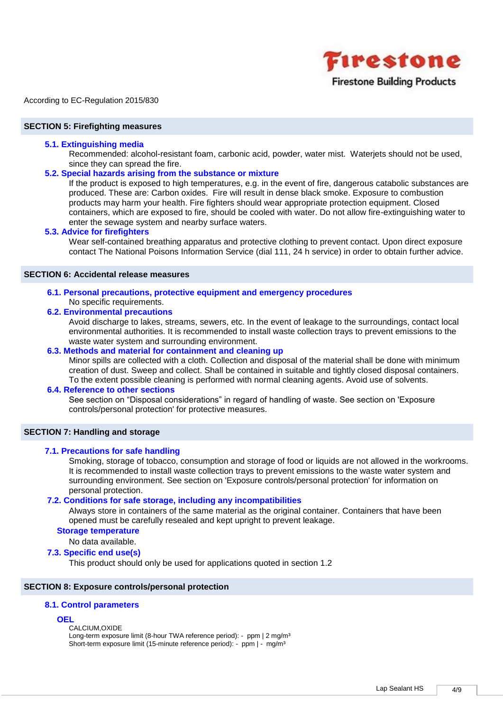

#### **SECTION 5: Firefighting measures**

#### **5.1. Extinguishing media**

Recommended: alcohol-resistant foam, carbonic acid, powder, water mist. Waterjets should not be used, since they can spread the fire.

#### **5.2. Special hazards arising from the substance or mixture**

If the product is exposed to high temperatures, e.g. in the event of fire, dangerous catabolic substances are produced. These are: Carbon oxides. Fire will result in dense black smoke. Exposure to combustion products may harm your health. Fire fighters should wear appropriate protection equipment. Closed containers, which are exposed to fire, should be cooled with water. Do not allow fire-extinguishing water to enter the sewage system and nearby surface waters.

## **5.3. Advice for firefighters**

Wear self-contained breathing apparatus and protective clothing to prevent contact. Upon direct exposure contact The National Poisons Information Service (dial 111, 24 h service) in order to obtain further advice.

## **SECTION 6: Accidental release measures**

**6.1. Personal precautions, protective equipment and emergency procedures** No specific requirements.

#### **6.2. Environmental precautions**

Avoid discharge to lakes, streams, sewers, etc. In the event of leakage to the surroundings, contact local environmental authorities. It is recommended to install waste collection trays to prevent emissions to the waste water system and surrounding environment.

## **6.3. Methods and material for containment and cleaning up**

Minor spills are collected with a cloth. Collection and disposal of the material shall be done with minimum creation of dust. Sweep and collect. Shall be contained in suitable and tightly closed disposal containers. To the extent possible cleaning is performed with normal cleaning agents. Avoid use of solvents.

#### **6.4. Reference to other sections**

See section on "Disposal considerations" in regard of handling of waste. See section on 'Exposure controls/personal protection' for protective measures.

## **SECTION 7: Handling and storage**

#### **7.1. Precautions for safe handling**

Smoking, storage of tobacco, consumption and storage of food or liquids are not allowed in the workrooms. It is recommended to install waste collection trays to prevent emissions to the waste water system and surrounding environment. See section on 'Exposure controls/personal protection' for information on personal protection.

#### **7.2. Conditions for safe storage, including any incompatibilities**

Always store in containers of the same material as the original container. Containers that have been opened must be carefully resealed and kept upright to prevent leakage.

#### **Storage temperature**

No data available.

#### **7.3. Specific end use(s)**

This product should only be used for applications quoted in section 1.2

## **SECTION 8: Exposure controls/personal protection**

## **8.1. Control parameters**

#### **OEL**

CALCIUM,OXIDE

Long-term exposure limit (8-hour TWA reference period): - ppm | 2 mg/m<sup>3</sup> Short-term exposure limit (15-minute reference period): - ppm | - mg/m<sup>3</sup>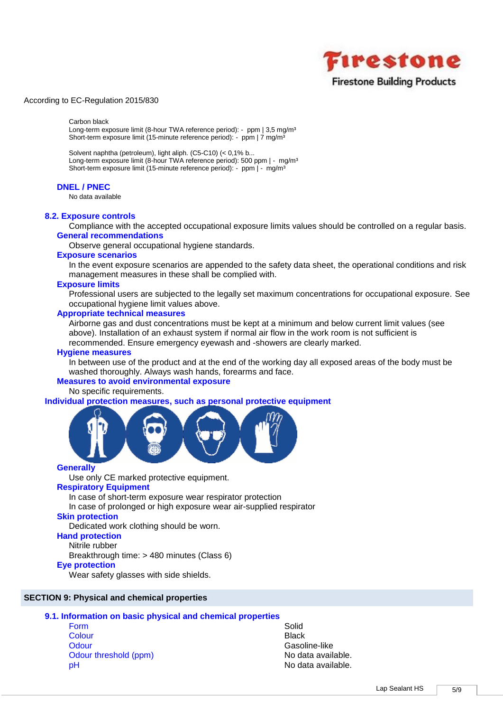

#### Carbon black

Long-term exposure limit (8-hour TWA reference period): - ppm | 3,5 mg/m<sup>3</sup> Short-term exposure limit (15-minute reference period): - ppm | 7 mg/m<sup>3</sup>

Solvent naphtha (petroleum), light aliph. (C5-C10) (< 0,1% b... Long-term exposure limit (8-hour TWA reference period): 500 ppm | - mg/m<sup>3</sup> Short-term exposure limit (15-minute reference period): - ppm | - mg/m<sup>3</sup>

### **DNEL / PNEC**

No data available

#### **8.2. Exposure controls**

Compliance with the accepted occupational exposure limits values should be controlled on a regular basis. **General recommendations**

Observe general occupational hygiene standards.

#### **Exposure scenarios**

In the event exposure scenarios are appended to the safety data sheet, the operational conditions and risk management measures in these shall be complied with.

#### **Exposure limits**

Professional users are subjected to the legally set maximum concentrations for occupational exposure. See occupational hygiene limit values above.

#### **Appropriate technical measures**

Airborne gas and dust concentrations must be kept at a minimum and below current limit values (see above). Installation of an exhaust system if normal air flow in the work room is not sufficient is recommended. Ensure emergency eyewash and -showers are clearly marked.

#### **Hygiene measures**

In between use of the product and at the end of the working day all exposed areas of the body must be washed thoroughly. Always wash hands, forearms and face.

#### **Measures to avoid environmental exposure**

No specific requirements.

**Individual protection measures, such as personal protective equipment**



#### **Generally**

Use only CE marked protective equipment.

## **Respiratory Equipment**

In case of short-term exposure wear respirator protection

In case of prolonged or high exposure wear air-supplied respirator

## **Skin protection**

Dedicated work clothing should be worn.

## **Hand protection**

Nitrile rubber

Breakthrough time: > 480 minutes (Class 6)

## **Eye protection**

Wear safety glasses with side shields.

## **SECTION 9: Physical and chemical properties**

## **9.1. Information on basic physical and chemical properties**

- Form Solid **Solid Colour Black** Odour Gasoline-like Odour threshold (ppm) No data available. pH No data available.
-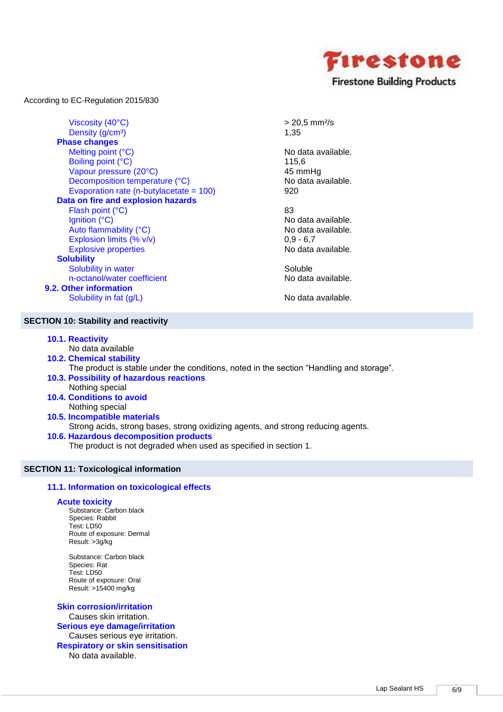

Viscosity  $(40^{\circ}C)$   $> 20.5$  mm<sup>2</sup>/s Density  $(g/cm<sup>3</sup>)$  1,35 **Phase changes** Melting point (°C) No data available. Boiling point (°C) 115,6 Vapour pressure (20°C)<br>
Decomposition temperature (°C) 
Allen Modata available. Decomposition temperature (°C) Evaporation rate (n-butylacetate = 100) 920 **Data on fire and explosion hazards** Flash point (°C) 83 Ignition (°C) No data available. Auto flammability (°C) extending the Modata available. Explosion limits  $(\% \text{ v/v})$  0,9 - 6,7 Explosive properties No data available. **Solubility** Solubility in water Soluble Soluble n-octanol/water coefficient No data available.

**9.2. Other information** Solubility in fat  $(g/L)$  No data available.

## **SECTION 10: Stability and reactivity**

- **10.1. Reactivity**
	- No data available
- **10.2. Chemical stability** The product is stable under the conditions, noted in the section "Handling and storage". **10.3. Possibility of hazardous reactions**
- Nothing special
- **10.4. Conditions to avoid** Nothing special
- **10.5. Incompatible materials** Strong acids, strong bases, strong oxidizing agents, and strong reducing agents.
- **10.6. Hazardous decomposition products**

The product is not degraded when used as specified in section 1.

## **SECTION 11: Toxicological information**

## **11.1. Information on toxicological effects**

## **Acute toxicity**

Substance: Carbon black Species: Rabbit Test: LD50 Route of exposure: Dermal Result: >3g/kg

Substance: Carbon black Species: Rat Test: LD50 Route of exposure: Oral Result: >15400 mg/kg

**Skin corrosion/irritation** Causes skin irritation. **Serious eye damage/irritation** Causes serious eye irritation. **Respiratory or skin sensitisation** No data available.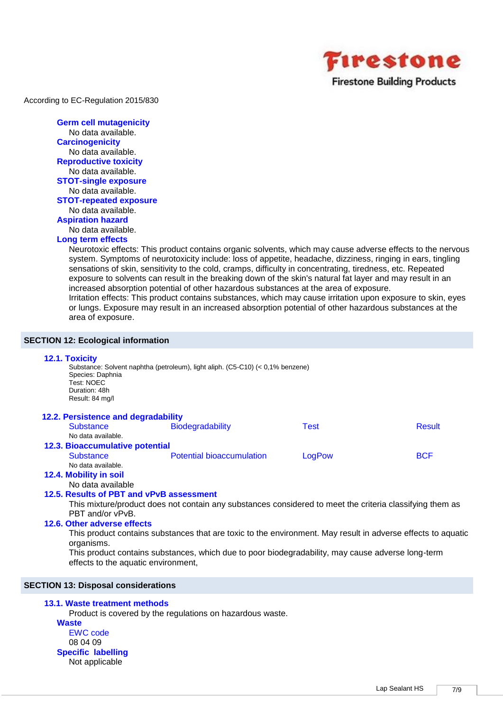

**Germ cell mutagenicity** No data available. **Carcinogenicity** No data available. **Reproductive toxicity** No data available. **STOT-single exposure** No data available. **STOT-repeated exposure** No data available. **Aspiration hazard** No data available. **Long term effects**

## Neurotoxic effects: This product contains organic solvents, which may cause adverse effects to the nervous

system. Symptoms of neurotoxicity include: loss of appetite, headache, dizziness, ringing in ears, tingling sensations of skin, sensitivity to the cold, cramps, difficulty in concentrating, tiredness, etc. Repeated exposure to solvents can result in the breaking down of the skin's natural fat layer and may result in an increased absorption potential of other hazardous substances at the area of exposure. Irritation effects: This product contains substances, which may cause irritation upon exposure to skin, eyes or lungs. Exposure may result in an increased absorption potential of other hazardous substances at the area of exposure.

## **SECTION 12: Ecological information**

## **12.1. Toxicity**

Substance: Solvent naphtha (petroleum), light aliph. (C5-C10) (< 0,1% benzene) Species: Daphnia Test: NOEC Duration: 48h Result: 84 mg/l

| 12.2. Persistence and degradability |                                  |        |               |
|-------------------------------------|----------------------------------|--------|---------------|
| <b>Substance</b>                    | Biodegradability                 | Test   | <b>Result</b> |
| No data available.                  |                                  |        |               |
| 12.3. Bioaccumulative potential     |                                  |        |               |
| <b>Substance</b>                    | <b>Potential bioaccumulation</b> | LogPow | <b>BCF</b>    |
| No data available.                  |                                  |        |               |
| 12.4. Mobility in soil              |                                  |        |               |

No data available

## **12.5. Results of PBT and vPvB assessment**

This mixture/product does not contain any substances considered to meet the criteria classifying them as PBT and/or vPvB.

## **12.6. Other adverse effects**

This product contains substances that are toxic to the environment. May result in adverse effects to aquatic organisms.

This product contains substances, which due to poor biodegradability, may cause adverse long-term effects to the aquatic environment,

## **SECTION 13: Disposal considerations**

## **13.1. Waste treatment methods**

Product is covered by the regulations on hazardous waste.

**Waste** EWC code 08 04 09 **Specific labelling** Not applicable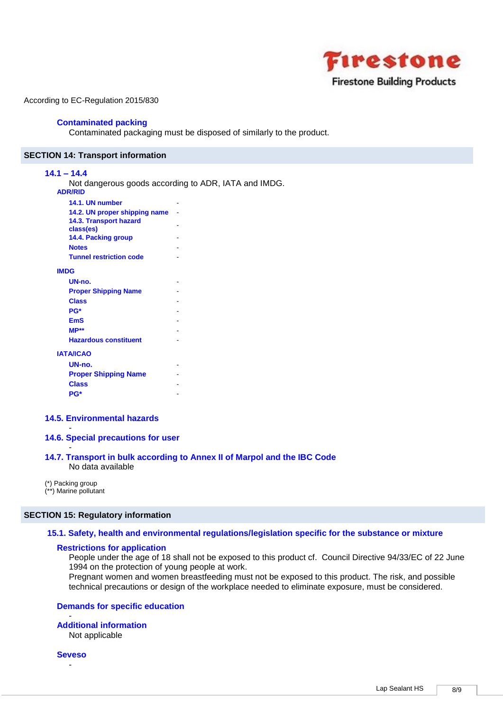

## **Contaminated packing**

Contaminated packaging must be disposed of similarly to the product.

#### **SECTION 14: Transport information**

## **14.1 – 14.4**

Not dangerous goods according to ADR, IATA and IMDG. **ADR/RID**

| 14.1. UN number                     |  |
|-------------------------------------|--|
| 14.2. UN proper shipping name       |  |
| 14.3. Transport hazard<br>class(es) |  |
| 14.4. Packing group                 |  |
| <b>Notes</b>                        |  |
| <b>Tunnel restriction code</b>      |  |
| <b>IMDG</b>                         |  |
| UN-no.                              |  |
| <b>Proper Shipping Name</b>         |  |
| <b>Class</b>                        |  |
| PG*                                 |  |
| <b>EmS</b>                          |  |
| $MP**$                              |  |
| <b>Hazardous constituent</b>        |  |
| <b>IATA/ICAO</b>                    |  |
| UN-no.                              |  |
| <b>Proper Shipping Name</b>         |  |

#### **14.5. Environmental hazards**

## **14.6. Special precautions for user**

#### - **14.7. Transport in bulk according to Annex II of Marpol and the IBC Code** No data available

(\*) Packing group (\*\*) Marine pollutant

**Class** - **PG\*** -

-

#### **SECTION 15: Regulatory information**

## **15.1. Safety, health and environmental regulations/legislation specific for the substance or mixture**

#### **Restrictions for application**

People under the age of 18 shall not be exposed to this product cf. Council Directive 94/33/EC of 22 June 1994 on the protection of young people at work.

Pregnant women and women breastfeeding must not be exposed to this product. The risk, and possible technical precautions or design of the workplace needed to eliminate exposure, must be considered.

## **Demands for specific education**

#### - **Additional information**

Not applicable

**Seveso** -